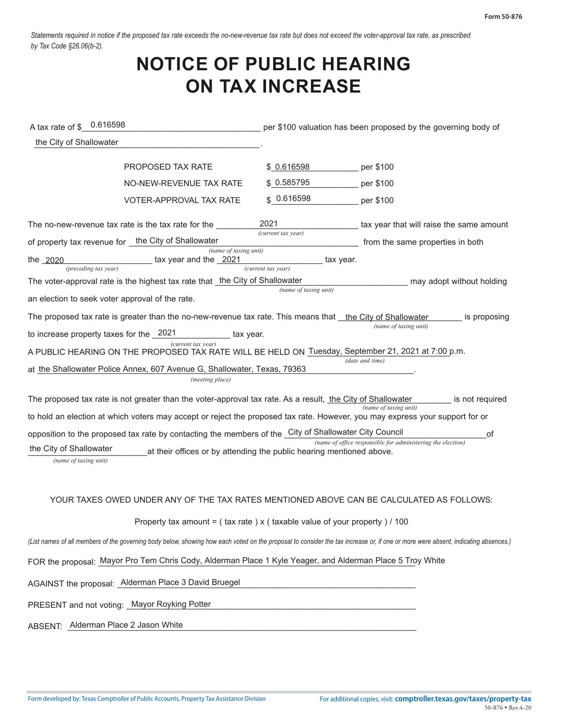*Statements required in notice if the proposed tax rate exceeds the no-new-revenue tax rate but does not exceed the voter-approval tax rate, as prescribed by Tax Code §26.06(b-2).* 

## **NOTICE OF PUBLIC HEARING ON TAX INCREASE**

| A tax rate of \$ 0.616598                                                                                                                                                         |                                                                                                             | per \$100 valuation has been proposed by the governing body of |                                                                                          |  |  |  |
|-----------------------------------------------------------------------------------------------------------------------------------------------------------------------------------|-------------------------------------------------------------------------------------------------------------|----------------------------------------------------------------|------------------------------------------------------------------------------------------|--|--|--|
| the City of Shallowater                                                                                                                                                           |                                                                                                             |                                                                |                                                                                          |  |  |  |
|                                                                                                                                                                                   | <b>PROPOSED TAX RATE</b>                                                                                    | \$0.616598                                                     | per \$100                                                                                |  |  |  |
|                                                                                                                                                                                   | NO-NEW-REVENUE TAX RATE                                                                                     | \$0.585795                                                     | per \$100                                                                                |  |  |  |
|                                                                                                                                                                                   | VOTER-APPROVAL TAX RATE                                                                                     | \$0.616598                                                     | per \$100                                                                                |  |  |  |
|                                                                                                                                                                                   | The no-new-revenue tax rate is the tax rate for the                                                         | 2021<br>(current tax year)                                     | tax year that will raise the same amount                                                 |  |  |  |
|                                                                                                                                                                                   | of property tax revenue for the City of Shallowater                                                         |                                                                | from the same properties in both                                                         |  |  |  |
| the 2020<br>(preceding tax year)                                                                                                                                                  | (name of taxing unit)<br>tax year and the 2021                                                              | tax year.<br>(current tax year)                                |                                                                                          |  |  |  |
| The voter-approval rate is the highest tax rate that the City of Shallowater<br>may adopt without holding                                                                         |                                                                                                             |                                                                |                                                                                          |  |  |  |
| an election to seek voter approval of the rate.                                                                                                                                   |                                                                                                             | (name of taxing unit)                                          |                                                                                          |  |  |  |
| The proposed tax rate is greater than the no-new-revenue tax rate. This means that the City of Shallowater<br>is proposing                                                        |                                                                                                             |                                                                |                                                                                          |  |  |  |
| (name of taxing unit)<br>to increase property taxes for the 2021<br>tax year.                                                                                                     |                                                                                                             |                                                                |                                                                                          |  |  |  |
| (current tax year)<br>A PUBLIC HEARING ON THE PROPOSED TAX RATE WILL BE HELD ON Tuesday, September 21, 2021 at 7:00 p.m.                                                          |                                                                                                             |                                                                |                                                                                          |  |  |  |
|                                                                                                                                                                                   | at the Shallowater Police Annex, 607 Avenue G, Shallowater, Texas, 79363                                    |                                                                | (date and time)                                                                          |  |  |  |
|                                                                                                                                                                                   | (meeting place)                                                                                             |                                                                |                                                                                          |  |  |  |
|                                                                                                                                                                                   | The proposed tax rate is not greater than the voter-approval tax rate. As a result, the City of Shallowater |                                                                | is not required                                                                          |  |  |  |
| (name of taxing unit)<br>to hold an election at which voters may accept or reject the proposed tax rate. However, you may express your support for or                             |                                                                                                             |                                                                |                                                                                          |  |  |  |
|                                                                                                                                                                                   | opposition to the proposed tax rate by contacting the members of the City of Shallowater City Council       |                                                                | of                                                                                       |  |  |  |
| (name of office responsible for administering the election)<br>the City of Shallowater<br>at their offices or by attending the public hearing mentioned above.                    |                                                                                                             |                                                                |                                                                                          |  |  |  |
| (name of taxing unit)                                                                                                                                                             |                                                                                                             |                                                                |                                                                                          |  |  |  |
|                                                                                                                                                                                   |                                                                                                             |                                                                |                                                                                          |  |  |  |
|                                                                                                                                                                                   |                                                                                                             |                                                                | YOUR TAXES OWED UNDER ANY OF THE TAX RATES MENTIONED ABOVE CAN BE CALCULATED AS FOLLOWS: |  |  |  |
|                                                                                                                                                                                   | Property tax amount = $($ tax rate $)$ x $($ taxable value of your property $)/100$                         |                                                                |                                                                                          |  |  |  |
| (List names of all members of the governing body below, showing how each voted on the proposal to consider the tax increase or, if one or more were absent, indicating absences.) |                                                                                                             |                                                                |                                                                                          |  |  |  |
|                                                                                                                                                                                   | FOR the proposal: Mayor Pro Tem Chris Cody, Alderman Place 1 Kyle Yeager, and Alderman Place 5 Troy White   |                                                                |                                                                                          |  |  |  |
|                                                                                                                                                                                   | AGAINST the proposal: Alderman Place 3 David Bruegel                                                        |                                                                |                                                                                          |  |  |  |
| PRESENT and not voting: Mayor Royking Potter                                                                                                                                      |                                                                                                             |                                                                |                                                                                          |  |  |  |
| ABSENT: Alderman Place 2 Jason White                                                                                                                                              |                                                                                                             |                                                                |                                                                                          |  |  |  |
|                                                                                                                                                                                   |                                                                                                             |                                                                |                                                                                          |  |  |  |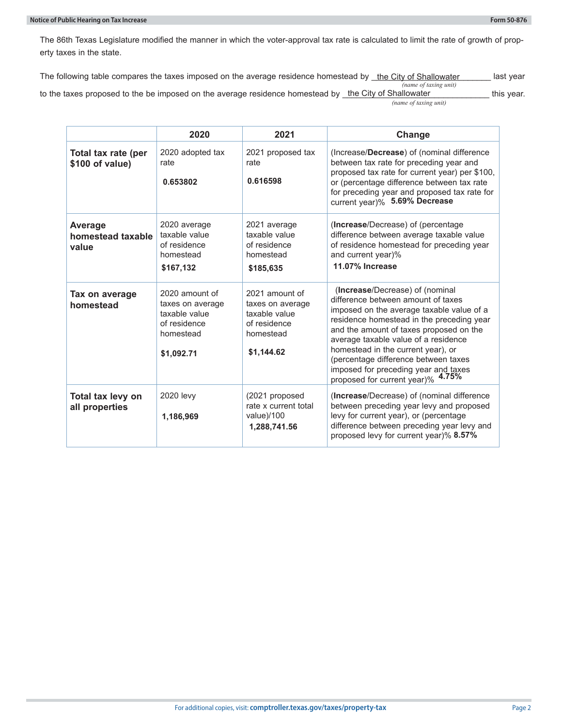The 86th Texas Legislature modified the manner in which the voter-approval tax rate is calculated to limit the rate of growth of property taxes in the state.

The following table compares the taxes imposed on the average residence homestead by \_<u>the City of Shallowater \_\_\_\_\_\_</u> last year

*(name of taxing unit) (name of taxing unit)*  to the taxes proposed to the be imposed on the average residence homestead by \_the City of Shallowater \_\_\_\_\_\_\_\_\_\_\_\_\_ this year.

|                                        | 2020                                                                                           | 2021                                                                                           | Change                                                                                                                                                                                                                                                                                                                                                                                                        |
|----------------------------------------|------------------------------------------------------------------------------------------------|------------------------------------------------------------------------------------------------|---------------------------------------------------------------------------------------------------------------------------------------------------------------------------------------------------------------------------------------------------------------------------------------------------------------------------------------------------------------------------------------------------------------|
| Total tax rate (per<br>\$100 of value) | 2020 adopted tax<br>rate<br>0.653802                                                           | 2021 proposed tax<br>rate<br>0.616598                                                          | (Increase/Decrease) of (nominal difference<br>between tax rate for preceding year and<br>proposed tax rate for current year) per \$100,<br>or (percentage difference between tax rate<br>for preceding year and proposed tax rate for<br>current year)% 5.69% Decrease                                                                                                                                        |
| Average<br>homestead taxable<br>value  | 2020 average<br>taxable value<br>of residence<br>homestead<br>\$167,132                        | 2021 average<br>taxable value<br>of residence<br>homestead<br>\$185,635                        | (Increase/Decrease) of (percentage<br>difference between average taxable value<br>of residence homestead for preceding year<br>and current year)%<br>11.07% Increase                                                                                                                                                                                                                                          |
| Tax on average<br>homestead            | 2020 amount of<br>taxes on average<br>taxable value<br>of residence<br>homestead<br>\$1,092.71 | 2021 amount of<br>taxes on average<br>taxable value<br>of residence<br>homestead<br>\$1,144.62 | (Increase/Decrease) of (nominal<br>difference between amount of taxes<br>imposed on the average taxable value of a<br>residence homestead in the preceding year<br>and the amount of taxes proposed on the<br>average taxable value of a residence<br>homestead in the current year), or<br>(percentage difference between taxes<br>imposed for preceding year and taxes<br>proposed for current year)% 4.75% |
| Total tax levy on<br>all properties    | 2020 levy<br>1,186,969                                                                         | (2021 proposed<br>rate x current total<br>value)/100<br>1,288,741.56                           | (Increase/Decrease) of (nominal difference<br>between preceding year levy and proposed<br>levy for current year), or (percentage<br>difference between preceding year levy and<br>proposed levy for current year)% 8.57%                                                                                                                                                                                      |